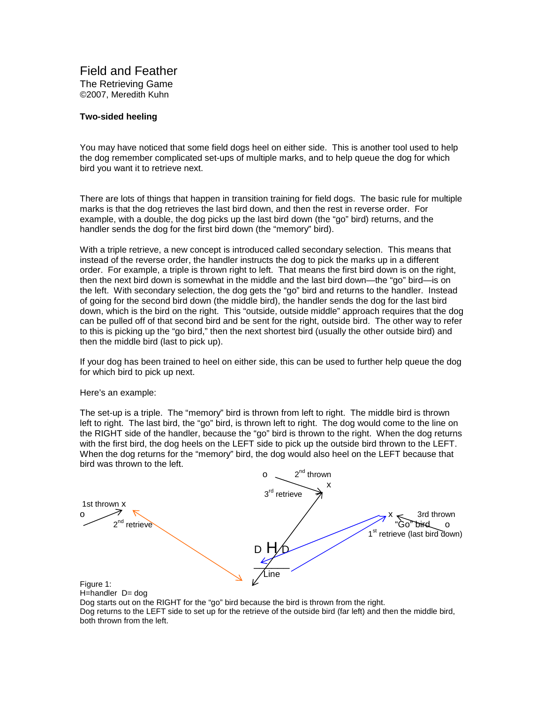Field and Feather The Retrieving Game ©2007, Meredith Kuhn

## **Two-sided heeling**

You may have noticed that some field dogs heel on either side. This is another tool used to help the dog remember complicated set-ups of multiple marks, and to help queue the dog for which bird you want it to retrieve next.

There are lots of things that happen in transition training for field dogs. The basic rule for multiple marks is that the dog retrieves the last bird down, and then the rest in reverse order. For example, with a double, the dog picks up the last bird down (the "go" bird) returns, and the handler sends the dog for the first bird down (the "memory" bird).

With a triple retrieve, a new concept is introduced called secondary selection. This means that instead of the reverse order, the handler instructs the dog to pick the marks up in a different order. For example, a triple is thrown right to left. That means the first bird down is on the right, then the next bird down is somewhat in the middle and the last bird down—the "go" bird—is on the left. With secondary selection, the dog gets the "go" bird and returns to the handler. Instead of going for the second bird down (the middle bird), the handler sends the dog for the last bird down, which is the bird on the right. This "outside, outside middle" approach requires that the dog can be pulled off of that second bird and be sent for the right, outside bird. The other way to refer to this is picking up the "go bird," then the next shortest bird (usually the other outside bird) and then the middle bird (last to pick up).

If your dog has been trained to heel on either side, this can be used to further help queue the dog for which bird to pick up next.

Here's an example:

The set-up is a triple. The "memory" bird is thrown from left to right. The middle bird is thrown left to right. The last bird, the "go" bird, is thrown left to right. The dog would come to the line on the RIGHT side of the handler, because the "go" bird is thrown to the right. When the dog returns with the first bird, the dog heels on the LEFT side to pick up the outside bird thrown to the LEFT. When the dog returns for the "memory" bird, the dog would also heel on the LEFT because that bird was thrown to the left.



Dog starts out on the RIGHT for the "go" bird because the bird is thrown from the right. Dog returns to the LEFT side to set up for the retrieve of the outside bird (far left) and then the middle bird, both thrown from the left.